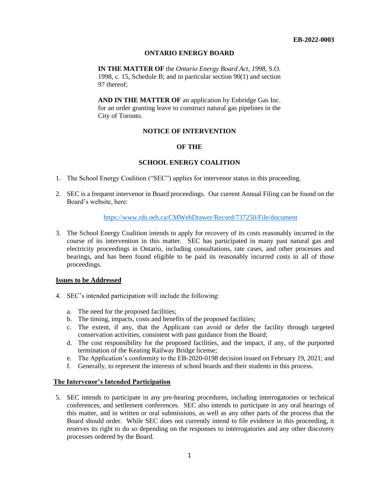# **ONTARIO ENERGY BOARD**

**IN THE MATTER OF** the *Ontario Energy Board Act, 1998*, S.O. 1998, c. 15, Schedule B; and in particular section 90(1) and section 97 thereof;

**AND IN THE MATTER OF** an application by Enbridge Gas Inc. for an order granting leave to construct natural gas pipelines in the City of Toronto.

## **NOTICE OF INTERVENTION**

## **OF THE**

# **SCHOOL ENERGY COALITION**

- 1. The School Energy Coalition ("SEC") applies for intervenor status in this proceeding.
- 2. SEC is a frequent intervenor in Board proceedings. Our current Annual Filing can be found on the Board's website, here:

#### <https://www.rds.oeb.ca/CMWebDrawer/Record/737250/File/document>

3. The School Energy Coalition intends to apply for recovery of its costs reasonably incurred in the course of its intervention in this matter. SEC has participated in many past natural gas and electricity proceedings in Ontario, including consultations, rate cases, and other processes and hearings, and has been found eligible to be paid its reasonably incurred costs in all of those proceedings.

## **Issues to be Addressed**

- 4. SEC's intended participation will include the following:
	- a. The need for the proposed facilities;
	- b. The timing, impacts, costs and benefits of the proposed facilities;
	- c. The extent, if any, that the Applicant can avoid or defer the facility through targeted conservation activities, consistent with past guidance from the Board;
	- d. The cost responsibility for the proposed facilities, and the impact, if any, of the purported termination of the Keating Railway Bridge license;
	- e. The Application's conformity to the EB-2020-0198 decision issued on February 19, 2021; and
	- f. Generally, to represent the interests of school boards and their students in this process.

#### **The Intervenor's Intended Participation**

5. SEC intends to participate in any pre-hearing procedures, including interrogatories or technical conferences, and settlement conferences. SEC also intends to participate in any oral hearings of this matter, and in written or oral submissions, as well as any other parts of the process that the Board should order. While SEC does not currently intend to file evidence in this proceeding, it reserves its right to do so depending on the responses to interrogatories and any other discovery processes ordered by the Board.